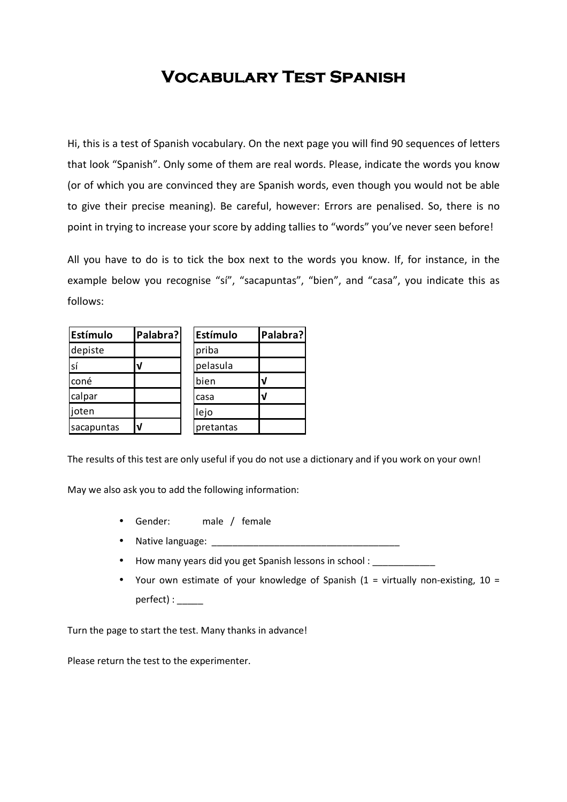## **Vocabulary Test Spanish Vocabulary Test SpanishSpanish**

Hi, this is a test of Spanish vocabulary. On the next page you will find 90 sequences of letters that look "Spanish". Only some of them are real words. Please, indicate the words you know (or of which you are convinced they are Spanish words, even though you would not be able to give their precise meaning). Be careful, however: Errors are penalised. So, there is no point in trying to increase your score by adding tallies to "words" you've never seen before!

All you have to do is to tick the box next to the words you know. If, for instance, in the example below you recognise "sí", "sacapuntas", "bien", and "casa", you indicate this as follows:

| Estímulo   | Palabra? | Estímulo  | Palabra? |  |
|------------|----------|-----------|----------|--|
| depiste    |          | priba     |          |  |
| sí         | ν        | pelasula  |          |  |
| coné       |          | bien      |          |  |
| calpar     |          | casa      |          |  |
| joten      |          | lejo      |          |  |
| sacapuntas | V        | pretantas |          |  |

The results of this test are only useful if you do not use a dictionary and if you work on your own!

May we also ask you to add the following information:

- Gender: male / female
- Native language:
- How many years did you get Spanish lessons in school :
- Your own estimate of your knowledge of Spanish  $(1 = \text{virtually non-existing}, 10 =$ perfect) : \_\_\_\_\_

Turn the page to start the test. Many thanks in advance!

Please return the test to the experimenter.